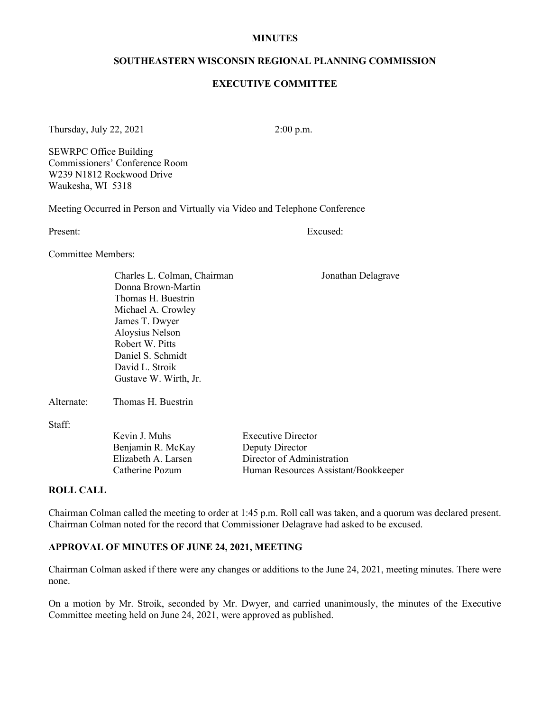#### **MINUTES**

#### **SOUTHEASTERN WISCONSIN REGIONAL PLANNING COMMISSION**

#### **EXECUTIVE COMMITTEE**

Thursday, July 22, 2021 2:00 p.m.

SEWRPC Office Building Commissioners' Conference Room W239 N1812 Rockwood Drive Waukesha, WI 5318

Meeting Occurred in Person and Virtually via Video and Telephone Conference

Present: Excused:

Committee Members:

Charles L. Colman, Chairman Jonathan Delagrave Donna Brown-Martin Thomas H. Buestrin Michael A. Crowley James T. Dwyer Aloysius Nelson Robert W. Pitts Daniel S. Schmidt David L. Stroik Gustave W. Wirth, Jr.

Alternate: Thomas H. Buestrin

Staff:

Kevin J. Muhs Executive Director Benjamin R. McKay Deputy Director

Elizabeth A. Larsen Director of Administration Catherine Pozum Human Resources Assistant/Bookkeeper

#### **ROLL CALL**

Chairman Colman called the meeting to order at 1:45 p.m. Roll call was taken, and a quorum was declared present. Chairman Colman noted for the record that Commissioner Delagrave had asked to be excused.

### **APPROVAL OF MINUTES OF JUNE 24, 2021, MEETING**

Chairman Colman asked if there were any changes or additions to the June 24, 2021, meeting minutes. There were none.

On a motion by Mr. Stroik, seconded by Mr. Dwyer, and carried unanimously, the minutes of the Executive Committee meeting held on June 24, 2021, were approved as published.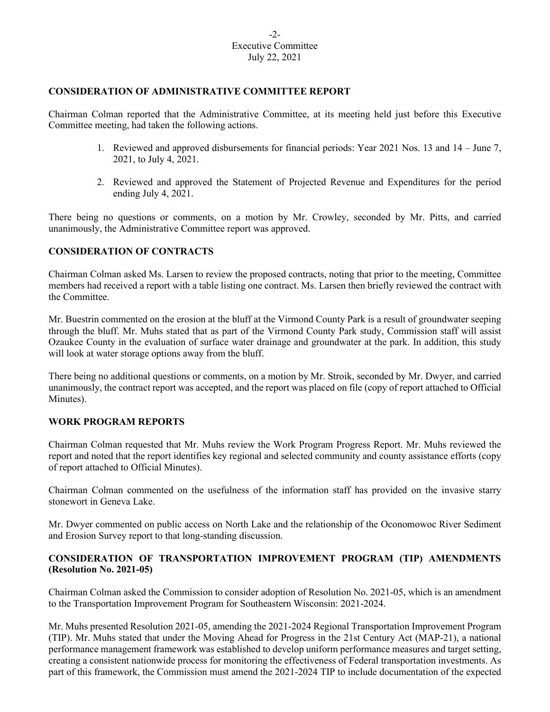# **CONSIDERATION OF ADMINISTRATIVE COMMITTEE REPORT**

Chairman Colman reported that the Administrative Committee, at its meeting held just before this Executive Committee meeting, had taken the following actions.

- 1. Reviewed and approved disbursements for financial periods: Year 2021 Nos. 13 and 14 June 7, 2021, to July 4, 2021.
- 2. Reviewed and approved the Statement of Projected Revenue and Expenditures for the period ending July 4, 2021.

There being no questions or comments, on a motion by Mr. Crowley, seconded by Mr. Pitts, and carried unanimously, the Administrative Committee report was approved.

# **CONSIDERATION OF CONTRACTS**

Chairman Colman asked Ms. Larsen to review the proposed contracts, noting that prior to the meeting, Committee members had received a report with a table listing one contract. Ms. Larsen then briefly reviewed the contract with the Committee.

Mr. Buestrin commented on the erosion at the bluff at the Virmond County Park is a result of groundwater seeping through the bluff. Mr. Muhs stated that as part of the Virmond County Park study, Commission staff will assist Ozaukee County in the evaluation of surface water drainage and groundwater at the park. In addition, this study will look at water storage options away from the bluff.

There being no additional questions or comments, on a motion by Mr. Stroik, seconded by Mr. Dwyer, and carried unanimously, the contract report was accepted, and the report was placed on file (copy of report attached to Official Minutes).

### **WORK PROGRAM REPORTS**

Chairman Colman requested that Mr. Muhs review the Work Program Progress Report. Mr. Muhs reviewed the report and noted that the report identifies key regional and selected community and county assistance efforts (copy of report attached to Official Minutes).

Chairman Colman commented on the usefulness of the information staff has provided on the invasive starry stonewort in Geneva Lake.

Mr. Dwyer commented on public access on North Lake and the relationship of the Oconomowoc River Sediment and Erosion Survey report to that long-standing discussion.

# **CONSIDERATION OF TRANSPORTATION IMPROVEMENT PROGRAM (TIP) AMENDMENTS (Resolution No. 2021-05)**

Chairman Colman asked the Commission to consider adoption of Resolution No. 2021-05, which is an amendment to the Transportation Improvement Program for Southeastern Wisconsin: 2021-2024.

Mr. Muhs presented Resolution 2021-05, amending the 2021-2024 Regional Transportation Improvement Program (TIP). Mr. Muhs stated that under the Moving Ahead for Progress in the 21st Century Act (MAP-21), a national performance management framework was established to develop uniform performance measures and target setting, creating a consistent nationwide process for monitoring the effectiveness of Federal transportation investments. As part of this framework, the Commission must amend the 2021-2024 TIP to include documentation of the expected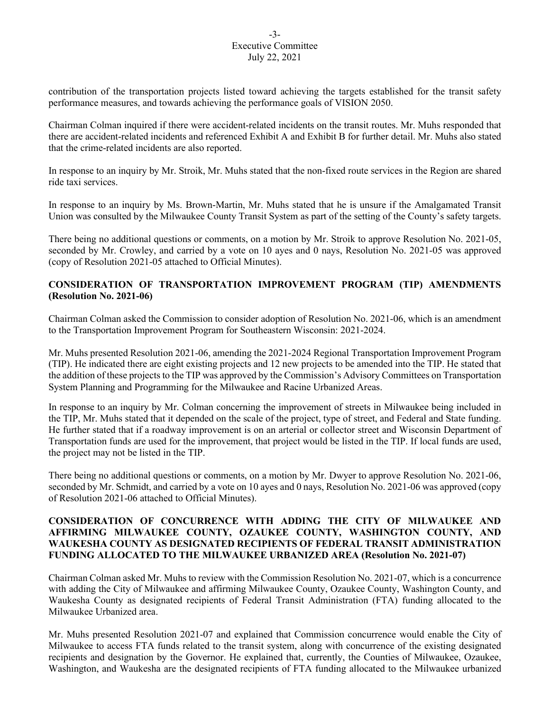#### -3- Executive Committee July 22, 2021

contribution of the transportation projects listed toward achieving the targets established for the transit safety performance measures, and towards achieving the performance goals of VISION 2050.

Chairman Colman inquired if there were accident-related incidents on the transit routes. Mr. Muhs responded that there are accident-related incidents and referenced Exhibit A and Exhibit B for further detail. Mr. Muhs also stated that the crime-related incidents are also reported.

In response to an inquiry by Mr. Stroik, Mr. Muhs stated that the non-fixed route services in the Region are shared ride taxi services.

In response to an inquiry by Ms. Brown-Martin, Mr. Muhs stated that he is unsure if the Amalgamated Transit Union was consulted by the Milwaukee County Transit System as part of the setting of the County's safety targets.

There being no additional questions or comments, on a motion by Mr. Stroik to approve Resolution No. 2021-05, seconded by Mr. Crowley, and carried by a vote on 10 ayes and 0 nays, Resolution No. 2021-05 was approved (copy of Resolution 2021-05 attached to Official Minutes).

# **CONSIDERATION OF TRANSPORTATION IMPROVEMENT PROGRAM (TIP) AMENDMENTS (Resolution No. 2021-06)**

Chairman Colman asked the Commission to consider adoption of Resolution No. 2021-06, which is an amendment to the Transportation Improvement Program for Southeastern Wisconsin: 2021-2024.

Mr. Muhs presented Resolution 2021-06, amending the 2021-2024 Regional Transportation Improvement Program (TIP). He indicated there are eight existing projects and 12 new projects to be amended into the TIP. He stated that the addition of these projects to the TIP was approved by the Commission's Advisory Committees on Transportation System Planning and Programming for the Milwaukee and Racine Urbanized Areas.

In response to an inquiry by Mr. Colman concerning the improvement of streets in Milwaukee being included in the TIP, Mr. Muhs stated that it depended on the scale of the project, type of street, and Federal and State funding. He further stated that if a roadway improvement is on an arterial or collector street and Wisconsin Department of Transportation funds are used for the improvement, that project would be listed in the TIP. If local funds are used, the project may not be listed in the TIP.

There being no additional questions or comments, on a motion by Mr. Dwyer to approve Resolution No. 2021-06, seconded by Mr. Schmidt, and carried by a vote on 10 ayes and 0 nays, Resolution No. 2021-06 was approved (copy of Resolution 2021-06 attached to Official Minutes).

## **CONSIDERATION OF CONCURRENCE WITH ADDING THE CITY OF MILWAUKEE AND AFFIRMING MILWAUKEE COUNTY, OZAUKEE COUNTY, WASHINGTON COUNTY, AND WAUKESHA COUNTY AS DESIGNATED RECIPIENTS OF FEDERAL TRANSIT ADMINISTRATION FUNDING ALLOCATED TO THE MILWAUKEE URBANIZED AREA (Resolution No. 2021-07)**

Chairman Colman asked Mr. Muhs to review with the Commission Resolution No. 2021-07, which is a concurrence with adding the City of Milwaukee and affirming Milwaukee County, Ozaukee County, Washington County, and Waukesha County as designated recipients of Federal Transit Administration (FTA) funding allocated to the Milwaukee Urbanized area.

Mr. Muhs presented Resolution 2021-07 and explained that Commission concurrence would enable the City of Milwaukee to access FTA funds related to the transit system, along with concurrence of the existing designated recipients and designation by the Governor. He explained that, currently, the Counties of Milwaukee, Ozaukee, Washington, and Waukesha are the designated recipients of FTA funding allocated to the Milwaukee urbanized